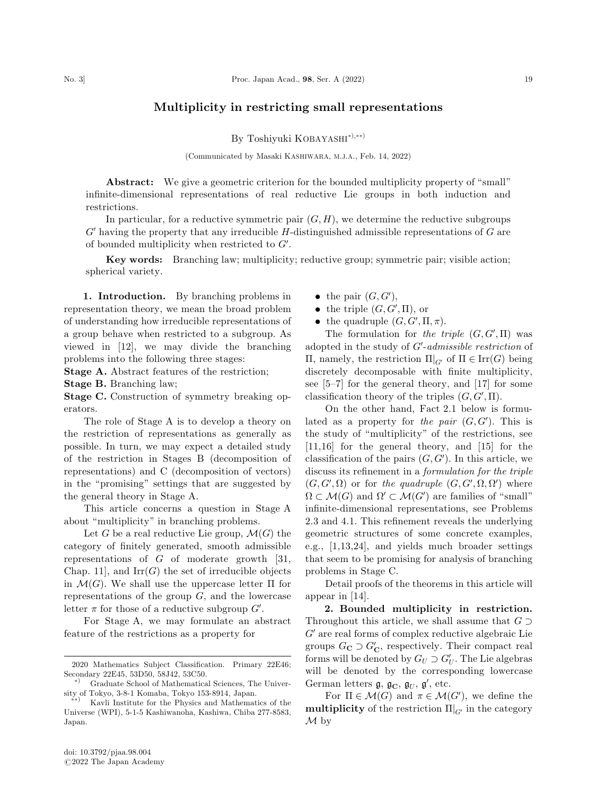## Multiplicity in restricting small representations

By Toshiyuki KOBAYASHI\*<sup>3</sup>,\*\*<sup>2</sup>

(Communicated by Masaki KASHIWARA, M.J.A., Feb. 14, 2022)

Abstract: We give a geometric criterion for the bounded multiplicity property of ''small'' infinite-dimensional representations of real reductive Lie groups in both induction and restrictions.

In particular, for a reductive symmetric pair  $(G, H)$ , we determine the reductive subgroups  $G'$  having the property that any irreducible H-distinguished admissible representations of  $G$  are of bounded multiplicity when restricted to  $G'$ .

Key words: Branching law; multiplicity; reductive group; symmetric pair; visible action; spherical variety.

1. Introduction. By branching problems in representation theory, we mean the broad problem of understanding how irreducible representations of a group behave when restricted to a subgroup. As viewed in [12], we may divide the branching problems into the following three stages:

Stage A. Abstract features of the restriction;

Stage B. Branching law;

Stage C. Construction of symmetry breaking operators.

The role of Stage A is to develop a theory on the restriction of representations as generally as possible. In turn, we may expect a detailed study of the restriction in Stages B (decomposition of representations) and C (decomposition of vectors) in the ''promising'' settings that are suggested by the general theory in Stage A.

This article concerns a question in Stage A about ''multiplicity'' in branching problems.

Let G be a real reductive Lie group,  $\mathcal{M}(G)$  the category of finitely generated, smooth admissible representations of  $G$  of moderate growth [31, Chap. 11], and  $\mathrm{Irr}(G)$  the set of irreducible objects in  $\mathcal{M}(G)$ . We shall use the uppercase letter  $\Pi$  for representations of the group  $G$ , and the lowercase letter  $\pi$  for those of a reductive subgroup  $G'$ .

For Stage A, we may formulate an abstract feature of the restrictions as a property for

- the pair  $(G, G'),$
- the triple  $(G, G', \Pi)$ , or
- the quadruple  $(G, G', \Pi, \pi)$ .

The formulation for the triple  $(G, G', \Pi)$  was adopted in the study of  $G'-admissible$  restriction of  $\Pi$ , namely, the restriction  $\Pi|_{G'}$  of  $\Pi \in \text{Irr}(G)$  being discretely decomposable with finite multiplicity, see [5–7] for the general theory, and [17] for some classification theory of the triples  $(G, G', \Pi)$ .

On the other hand, Fact 2.1 below is formulated as a property for the pair  $(G, G')$ . This is the study of ''multiplicity'' of the restrictions, see [11,16] for the general theory, and [15] for the classification of the pairs  $(G, G')$ . In this article, we discuss its refinement in a formulation for the triple  $(G, G', \Omega)$  or for the quadruple  $(G, G', \Omega, \Omega')$  where  $\Omega \subset \mathcal{M}(G)$  and  $\Omega' \subset \mathcal{M}(G')$  are families of "small" infinite-dimensional representations, see Problems 2.3 and 4.1. This refinement reveals the underlying geometric structures of some concrete examples, e.g., [1,13,24], and yields much broader settings that seem to be promising for analysis of branching problems in Stage C.

Detail proofs of the theorems in this article will appear in [14].

2. Bounded multiplicity in restriction. Throughout this article, we shall assume that  $G \supset$  $G'$  are real forms of complex reductive algebraic Lie groups  $G_{\mathbf{C}} \supset G'_{\mathbf{C}}$ , respectively. Their compact real forms will be denoted by  $G_U \supset G'_U$ . The Lie algebras will be denoted by the corresponding lowercase German letters  $\mathfrak{g}, \mathfrak{g}_{\mathbb{C}}, \mathfrak{g}_{U}, \mathfrak{g}'$ , etc.

For  $\Pi \in \mathcal{M}(G)$  and  $\pi \in \mathcal{M}(G')$ , we define the multiplicity of the restriction  $\Pi|_{G'}$  in the category  $\mathcal M$  by

<sup>2020</sup> Mathematics Subject Classification. Primary 22E46; Secondary 22E45, 53D50, 58J42, 53C50.<br>
<sup>\*</sup> Graduate School of Mathematical Sciences, The Univer-

 $\frac{\text{stity of Tokyo, 3-8-1 Komaba, Tokyo 153-8914, Japan.}}{\text{Kouli Institute for the Physics and Mathematical data}}$ 

<sup>Þ</sup> Kavli Institute for the Physics and Mathematics of the Universe (WPI), 5-1-5 Kashiwanoha, Kashiwa, Chiba 277-8583, Japan.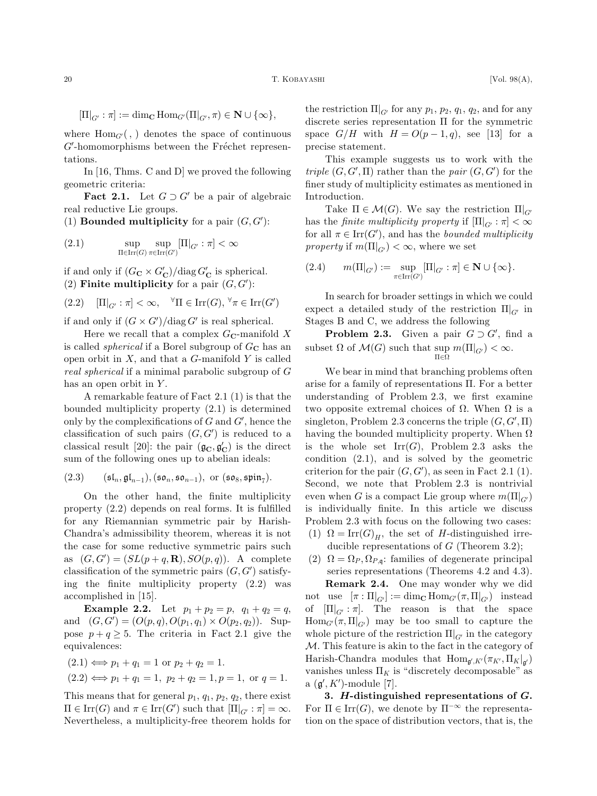$$
[\Pi|_{G'}: \pi] := \dim_{\mathbf{C}} \operatorname{Hom}_{G'}(\Pi|_{G'}, \pi) \in \mathbf{N} \cup \{\infty\},\
$$

where  $\text{Hom}_{G'}($ ,  $)$  denotes the space of continuous  $G'$ -homomorphisms between the Fréchet representations.

In [16, Thms. C and D] we proved the following geometric criteria:

**Fact 2.1.** Let  $G \supset G'$  be a pair of algebraic real reductive Lie groups.

(1) **Bounded multiplicity** for a pair  $(G, G')$ :

(2.1) 
$$
\sup_{\Pi \in \text{Irr}(G)} \sup_{\pi \in \text{Irr}(G')} [\Pi|_{G'} : \pi] < \infty
$$

if and only if  $(G_{\mathbf{C}} \times G_{\mathbf{C}}')/\text{diag } G_{\mathbf{C}}'$  is spherical. (2) Finite multiplicity for a pair  $(G, G')$ :

$$
(2.2) \quad \left[\Pi\right]_{G'} : \pi] < \infty, \quad \forall \Pi \in \text{Irr}(G), \forall \pi \in \text{Irr}(G')
$$

if and only if  $(G \times G')$ /diag G' is real spherical.

Here we recall that a complex  $G_{\mathbb{C}}$ -manifold X is called *spherical* if a Borel subgroup of  $G_{\rm C}$  has an open orbit in  $X$ , and that a  $G$ -manifold  $Y$  is called real spherical if a minimal parabolic subgroup of G has an open orbit in  $Y$ .

A remarkable feature of Fact 2.1 (1) is that the bounded multiplicity property (2.1) is determined only by the complexifications of  $G$  and  $G'$ , hence the classification of such pairs  $(G, G')$  is reduced to a classical result [20]: the pair  $(\mathfrak{g}_{\mathbf{C}}, \mathfrak{g}_{\mathbf{C}}')$  is the direct sum of the following ones up to abelian ideals:

(2.3) 
$$
(\mathfrak{sl}_n, \mathfrak{gl}_{n-1}), (\mathfrak{so}_n, \mathfrak{so}_{n-1}), \text{ or } (\mathfrak{so}_8, \mathfrak{spin}_7).
$$

On the other hand, the finite multiplicity property (2.2) depends on real forms. It is fulfilled for any Riemannian symmetric pair by Harish-Chandra's admissibility theorem, whereas it is not the case for some reductive symmetric pairs such as  $(G, G') = (SL(p+q, R), SO(p, q))$ . A complete classification of the symmetric pairs  $(G, G')$  satisfying the finite multiplicity property (2.2) was accomplished in [15].

**Example 2.2.** Let  $p_1 + p_2 = p$ ,  $q_1 + q_2 = q$ , and  $(G, G') = (O(p, q), O(p_1, q_1) \times O(p_2, q_2)).$  Suppose  $p+q \geq 5$ . The criteria in Fact 2.1 give the equivalences:

$$
(2.1) \iff p_1 + q_1 = 1 \text{ or } p_2 + q_2 = 1.
$$
  

$$
(2.2) \iff p_1 + q_1 = 1, \ p_2 + q_2 = 1, \ p = 1, \text{ or } q = 1.
$$

This means that for general  $p_1$ ,  $q_1$ ,  $p_2$ ,  $q_2$ , there exist  $\Pi \in \text{Irr}(G)$  and  $\pi \in \text{Irr}(G')$  such that  $[\Pi]_{G'} : \pi] = \infty$ . Nevertheless, a multiplicity-free theorem holds for

the restriction  $\Pi|_{G'}$  for any  $p_1, p_2, q_1, q_2$ , and for any discrete series representation  $\Pi$  for the symmetric space  $G/H$  with  $H = O(p-1, q)$ , see [13] for a precise statement.

This example suggests us to work with the triple  $(G, G', \Pi)$  rather than the pair  $(G, G')$  for the finer study of multiplicity estimates as mentioned in Introduction.

Take  $\Pi \in \mathcal{M}(G)$ . We say the restriction  $\Pi|_{G}$ has the *finite multiplicity property* if  $[\Pi]_{G'} : \pi] < \infty$ for all  $\pi \in \text{Irr}(G')$ , and has the *bounded multiplicity property* if  $m(\Pi|_{G'}) < \infty$ , where we set

$$
(2.4) \qquad m(\Pi|_{G'}) := \sup_{\pi \in \operatorname{Irr}(G')} [\Pi|_{G'} : \pi] \in \mathbf{N} \cup \{\infty\}.
$$

In search for broader settings in which we could expect a detailed study of the restriction  $\Pi|_{G'}$  in Stages B and C, we address the following

**Problem 2.3.** Given a pair  $G \supset G'$ , find a subset  $\Omega$  of  $\mathcal{M}(G)$  such that  $\sup_{\Pi \in \Omega} m(\Pi|_{G}) < \infty$ .  $\Pi \in \Omega$ 

We bear in mind that branching problems often arise for a family of representations  $\Pi$ . For a better understanding of Problem 2.3, we first examine two opposite extremal choices of  $\Omega$ . When  $\Omega$  is a singleton, Problem 2.3 concerns the triple  $(G, G', \Pi)$ having the bounded multiplicity property. When  $\Omega$ is the whole set  $\text{Irr}(G)$ , Problem 2.3 asks the condition (2.1), and is solved by the geometric criterion for the pair  $(G, G')$ , as seen in Fact 2.1 (1). Second, we note that Problem 2.3 is nontrivial even when G is a compact Lie group where  $m(\Pi|_{G})$ is individually finite. In this article we discuss Problem 2.3 with focus on the following two cases: (1)  $\Omega = \text{Irr}(G)_H$ , the set of H-distinguished irre-

- ducible representations of  $G$  (Theorem 3.2);
- (2)  $\Omega = \Omega_P, \Omega_{P,q}$ : families of degenerate principal series representations (Theorems 4.2 and 4.3).

Remark 2.4. One may wonder why we did not use  $[\pi:\Pi|_{G'}]:=\dim_{\mathbf{C}}\text{Hom}_{G'}(\pi,\Pi|_{G'})$  instead of  $[\Pi]_{G'} : \pi]$ . The reason is that the space  $\text{Hom}_{G'}(\pi, \Pi|_{G'})$  may be too small to capture the whole picture of the restriction  $\Pi|_{G'}$  in the category M. This feature is akin to the fact in the category of Harish-Chandra modules that  $\text{Hom}_{\mathfrak{g}',K'}(\pi_{K'}, \Pi_{K}|_{\mathfrak{g}'})$ vanishes unless  $\Pi_K$  is "discretely decomposable" as a  $(\mathfrak{g}', K')$ -module [7].

3. H-distinguished representations of G. For  $\Pi \in \text{Irr}(G)$ , we denote by  $\Pi^{-\infty}$  the representation on the space of distribution vectors, that is, the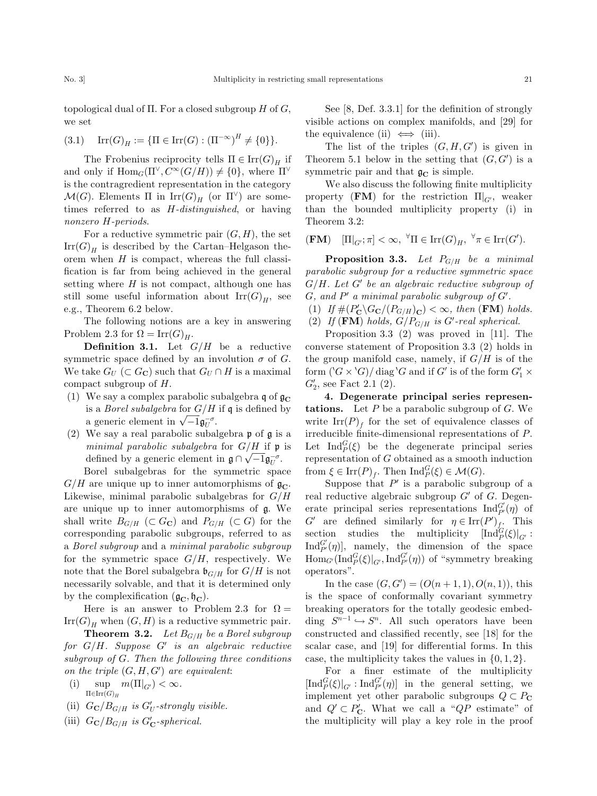topological dual of  $\Pi$ . For a closed subgroup H of G, we set

$$
(3.1) \quad \text{Irr}(G)_H := \{ \Pi \in \text{Irr}(G) : (\Pi^{-\infty})^H \neq \{0\} \}.
$$

The Frobenius reciprocity tells  $\Pi \in \mathrm{Irr}(G)_H$  if and only if  $\text{Hom}_G(\Pi^{\vee}, C^{\infty}(G/H)) \neq \{0\}$ , where  $\Pi^{\vee}$ is the contragredient representation in the category  $\mathcal{M}(G)$ . Elements  $\Pi$  in  $\mathrm{Irr}(G)_H$  (or  $\Pi^{\vee}$ ) are sometimes referred to as H-distinguished, or having nonzero H-periods.

For a reductive symmetric pair  $(G, H)$ , the set  $\text{Irr}(G)_H$  is described by the Cartan–Helgason theorem when  $H$  is compact, whereas the full classification is far from being achieved in the general setting where  $H$  is not compact, although one has still some useful information about  $\text{Irr}(G)_H$ , see e.g., Theorem 6.2 below.

The following notions are a key in answering Problem 2.3 for  $\Omega = \text{Irr}(G)_H$ .

**Definition 3.1.** Let  $G/H$  be a reductive symmetric space defined by an involution  $\sigma$  of G. We take  $G_U \subset G_C$  such that  $G_U \cap H$  is a maximal compact subgroup of H.

- (1) We say a complex parabolic subalgebra q of  $\mathfrak{g}_{\mathbb{C}}$ is a *Borel subalgebra* for  $G/H$  if q is defined by is a *Doret subalgebra* for  $G/H$ <br>a generic element in  $\sqrt{-1} \mathfrak{g}_{U}^{-\sigma}$ .
- (2) We say a real parabolic subalgebra p of g is a minimal parabolic subalgebra for  $G/H$  if  $\mathfrak p$  is defined by a generic element in  $\mathfrak{g} \cap \sqrt{-1} \mathfrak{g}_{\overline{U}}^{\sigma}$ .

Borel subalgebras for the symmetric space  $G/H$  are unique up to inner automorphisms of  $\mathfrak{g}_{\mathbb{C}}$ . Likewise, minimal parabolic subalgebras for  $G/H$ are unique up to inner automorphisms of g. We shall write  $B_{G/H}$  ( $\subset G_{\mathbb{C}}$ ) and  $P_{G/H}$  ( $\subset G$ ) for the corresponding parabolic subgroups, referred to as a Borel subgroup and a minimal parabolic subgroup for the symmetric space  $G/H$ , respectively. We note that the Borel subalgebra  $\mathfrak{b}_{G/H}$  for  $G/H$  is not necessarily solvable, and that it is determined only by the complexification  $(\mathfrak{g}_{\mathbf{C}}, \mathfrak{h}_{\mathbf{C}})$ .

Here is an answer to Problem 2.3 for  $\Omega =$  $\text{Irr}(G)_H$  when  $(G, H)$  is a reductive symmetric pair.

**Theorem 3.2.** Let  $B_{G/H}$  be a Borel subgroup for  $G/H$ . Suppose  $G'$  is an algebraic reductive subgroup of G. Then the following three conditions on the triple  $(G, H, G')$  are equivalent:

- (i) sup  $\Pi{\in}\mathrm{Irr}{(G)}_H$  $m(\Pi|_{G}) < \infty.$
- (ii)  $G_{\mathbf{C}}/B_{G/H}$  is  $G'_U$ -strongly visible.
- (iii)  $G_{\mathbf{C}}/B_{G/H}$  is  $G'_{\mathbf{C}}$ -spherical.

See [8, Def. 3.3.1] for the definition of strongly visible actions on complex manifolds, and [29] for the equivalence (ii)  $\iff$  (iii).

The list of the triples  $(G, H, G')$  is given in Theorem 5.1 below in the setting that  $(G, G')$  is a symmetric pair and that  $\mathfrak{g}_{\mathbb{C}}$  is simple.

We also discuss the following finite multiplicity property (FM) for the restriction  $\Pi|_{G'}$ , weaker than the bounded multiplicity property (i) in Theorem 3.2:

$$
(\mathbf{FM}) \quad [\Pi|_{G'}; \pi] < \infty, \ \forall \Pi \in \text{Irr}(G)_H, \ \forall \pi \in \text{Irr}(G').
$$

**Proposition 3.3.** Let  $P_{G/H}$  be a minimal parabolic subgroup for a reductive symmetric space  $G/H$ . Let  $G'$  be an algebraic reductive subgroup of  $G$ , and  $P'$  a minimal parabolic subgroup of  $G'$ .

- (1) If  $\#(P'_{\mathbf{C}}\backslash G_{\mathbf{C}}/(P_{G/H})_{\mathbf{C}}) < \infty$ , then (**FM**) holds.
- (2) If  $(\text{FM})$  holds,  $G/P_{G/H}$  is  $G'-real$  spherical.

Proposition 3.3 (2) was proved in [11]. The converse statement of Proposition 3.3 (2) holds in the group manifold case, namely, if  $G/H$  is of the form  $({}^{\backprime}G \times {}^{\backprime}G)/$  diag ${}^{\backprime}G$  and if  $G'$  is of the form  $G'_{1} \times$  $G'_{2}$ , see Fact 2.1 (2).

4. Degenerate principal series represen**tations.** Let  $P$  be a parabolic subgroup of  $G$ . We write  $\text{Irr}(P)_f$  for the set of equivalence classes of irreducible finite-dimensional representations of P. Let  $\text{Ind}_P^G(\xi)$  be the degenerate principal series representation of G obtained as a smooth induction from  $\xi \in \text{Irr}(P)_f$ . Then  $\text{Ind}_P^G(\xi) \in \mathcal{M}(G)$ .

Suppose that  $P'$  is a parabolic subgroup of a real reductive algebraic subgroup  $G'$  of G. Degenerate principal series representations  $\text{Ind}_{P'}^{G'}(\eta)$  of  $G'$  are defined similarly for  $\eta \in \text{Irr}(P')_{\underset{\sim}{f_{\star}}}$ . This section studies the multiplicity  $\left[\text{Ind}_{P}^{G}(\xi)\right]_{G'}$ :  $\text{Ind}_{P'}^{G'}(\eta)$ , namely, the dimension of the space  $\text{Hom}_{G'}(\text{Ind}_{P}^{G}(\xi)|_{G'}, \text{Ind}_{P'}^{G'}(\eta))$  of "symmetry breaking operators''.

In the case  $(G, G') = (O(n + 1, 1), O(n, 1)),$  this is the space of conformally covariant symmetry breaking operators for the totally geodesic embedding  $S^{n-1} \hookrightarrow S^n$ . All such operators have been constructed and classified recently, see [18] for the scalar case, and [19] for differential forms. In this case, the multiplicity takes the values in  $\{0, 1, 2\}$ .

For a finer estimate of the multiplicity  $\left[\text{Ind}_{P}^{G}(\xi)\right]_{G'}:\text{Ind}_{P'}^{G'}(\eta)$  in the general setting, we implement yet other parabolic subgroups  $Q \subset P_{\mathbb{C}}$ and  $Q' \subset P'_{\mathbf{C}}$ . What we call a " $QP$  estimate" of the multiplicity will play a key role in the proof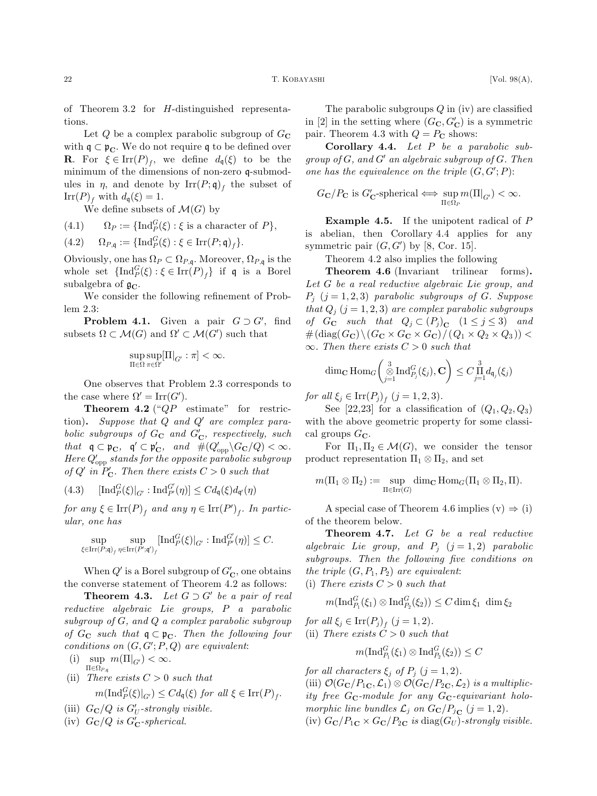of Theorem 3.2 for H-distinguished representations.

Let  $Q$  be a complex parabolic subgroup of  $G_{\mathbb{C}}$ with  $q \subset p_{\mathbf{C}}$ . We do not require q to be defined over **R**. For  $\xi \in \text{Irr}(P)_f$ , we define  $d_{\mathfrak{q}}(\xi)$  to be the minimum of the dimensions of non-zero q-submodules in  $\eta$ , and denote by  $\text{Irr}(P; \mathfrak{q})_f$  the subset of Irr $(P)_f$  with  $d_q(\xi) = 1$ .

We define subsets of  $\mathcal{M}(G)$  by

(4.1) 
$$
\Omega_P := \{\text{Ind}_P^G(\xi) : \xi \text{ is a character of } P\},
$$

$$
(4.2) \qquad \Omega_{P,\mathfrak{q}} := \{\mathrm{Ind}_P^G(\xi) : \xi \in \mathrm{Irr}(P;\mathfrak{q})_f\}.
$$

Obviously, one has  $\Omega_P \subset \Omega_{P,\mathfrak{q}}$ . Moreover,  $\Omega_{P,\mathfrak{q}}$  is the whole set  $\{\operatorname{Ind}_P^G(\xi) : \xi \in \operatorname{Irr}(P)_f\}$  if  $\mathfrak q$  is a Borel subalgebra of  $\mathfrak{g}_{\mathbb{C}}$ .

We consider the following refinement of Problem 2.3:

**Problem 4.1.** Given a pair  $G \supset G'$ , find subsets  $\Omega \subset \mathcal{M}(G)$  and  $\Omega' \subset \mathcal{M}(G')$  such that

$$
\sup_{\Pi\in\Omega}\sup_{\pi\in\Omega'}[\Pi|_{G'}:\pi]<\infty.
$$

One observes that Problem 2.3 corresponds to the case where  $\Omega' = \text{Irr}(G')$ .

**Theorem 4.2** (" $QP$  estimate" for restriction). Suppose that  $Q$  and  $Q'$  are complex parabolic subgroups of  $G_{\mathbf{C}}$  and  $G'_{\mathbf{C}}$ , respectively, such that  $\mathfrak{q} \subset \mathfrak{p}_{\mathbf{C}}$ ,  $\mathfrak{q}' \subset \mathfrak{p}'_{\mathbf{C}}$ , and  $\#(Q'_{opp} \backslash G_{\mathbf{C}}/Q) < \infty$ . Here  $Q'_{\text{opp}}$  stands for the opposite parabolic subgroup of Q' in  $P'_C$ . Then there exists  $C > 0$  such that

$$
(4.3) \qquad \left[\operatorname{Ind}_{P}^{G}(\xi)\right]_{G'} : \operatorname{Ind}_{P'}^{G'}(\eta)\right] \leq Cd_{\mathfrak{q}}(\xi)d_{\mathfrak{q}'}(\eta)
$$

for any  $\xi \in \operatorname{Irr}(P)_f$  and any  $\eta \in \operatorname{Irr}(P')_f$ . In particular, one has

$$
\sup_{\xi \in \text{Irr}(P;\mathfrak{q})_f} \sup_{\eta \in \text{Irr}(P';\mathfrak{q}')} [\text{Ind}_P^G(\xi)|_{G'} : \text{Ind}_{P'}^{G'}(\eta)] \leq C.
$$

When  $Q'$  is a Borel subgroup of  $G'_{\mathbf{C}}$ , one obtains the converse statement of Theorem 4.2 as follows:

**Theorem 4.3.** Let  $G \supset G'$  be a pair of real reductive algebraic Lie groups, P a parabolic subgroup of G, and Q a complex parabolic subgroup of  $G_{\mathbf{C}}$  such that  $\mathfrak{q} \subset \mathfrak{p}_{\mathbf{C}}$ . Then the following four conditions on  $(G, G'; P, Q)$  are equivalent:

- (i) sup  $m(\Pi|_{G}) < \infty$ .  $\Pi{\in}\Omega_{P,\mathfrak{q}}$
- (ii) There exists  $C > 0$  such that  $m(\text{Ind}_P^G(\xi)|_{G'}) \leq Cd_{\mathfrak{q}}(\xi)$  for all  $\xi \in \text{Irr}(P)_f$ .
- (iii)  $G_{\mathbf{C}}/Q$  is  $G'_U\text{-strongly visible.}$
- (iv)  $G_{\mathbf{C}}/Q$  is  $G'_{\mathbf{C}}$ -spherical.

The parabolic subgroups  $Q$  in (iv) are classified in [2] in the setting where  $(G_{\mathbf{C}}, G_{\mathbf{C}}')$  is a symmetric pair. Theorem 4.3 with  $Q = P_{\rm C}$  shows:

Corollary 4.4. Let P be a parabolic subgroup of  $G$ , and  $G'$  an algebraic subgroup of  $G$ . Then one has the equivalence on the triple  $(G, G'; P)$ :

$$
G_{\mathbf{C}}/P_{\mathbf{C}} \text{ is } G'_{\mathbf{C}}\text{-spherical} \Longleftrightarrow \sup_{\Pi \in \Omega_P} m(\Pi|_{G'}) < \infty.
$$

Example 4.5. If the unipotent radical of P is abelian, then Corollary 4.4 applies for any symmetric pair  $(G, G')$  by [8, Cor. 15].

Theorem 4.2 also implies the following

Theorem 4.6 (Invariant trilinear forms). Let G be a real reductive algebraic Lie group, and  $P_i$   $(j = 1, 2, 3)$  parabolic subgroups of G. Suppose that  $Q_i$   $(j = 1, 2, 3)$  are complex parabolic subgroups of  $G_{\mathbf{C}}$  such that  $Q_j \subset (P_j)_{\mathbf{C}}$   $(1 \leq j \leq 3)$  and  $\#(\text{diag}(G_{\mathbf{C}})\setminus (G_{\mathbf{C}}\times G_{\mathbf{C}}\times G_{\mathbf{C}})/(Q_1\times Q_2\times Q_3))$  <  $\infty$ . Then there exists  $C > 0$  such that

$$
\dim_{\mathbf{C}}\mathrm{Hom}_{G}\left(\underset{j=1}{\overset{3}{\otimes}}\mathrm{Ind}_{P_j}^G(\xi_j),\mathbf{C}\right)\leq C\underset{j=1}{\overset{3}{\Pi}}d_{\mathfrak{q}_j}(\xi_j)
$$

for all  $\xi_i \in \text{Irr}(P_i)_{f}$   $(j = 1, 2, 3)$ .

See [22,23] for a classification of  $(Q_1, Q_2, Q_3)$ with the above geometric property for some classical groups  $G_{\mathbf{C}}$ .

For  $\Pi_1, \Pi_2 \in \mathcal{M}(G)$ , we consider the tensor product representation  $\Pi_1 \otimes \Pi_2$ , and set

$$
m(\Pi_1 \otimes \Pi_2) := \sup_{\Pi \in \operatorname{Irr}(G)} \dim_{\mathbf{C}} \operatorname{Hom}_G(\Pi_1 \otimes \Pi_2, \Pi).
$$

A special case of Theorem 4.6 implies  $(v) \Rightarrow (i)$ of the theorem below.

Theorem 4.7. Let G be a real reductive algebraic Lie group, and  $P_j$   $(j = 1, 2)$  parabolic subgroups. Then the following five conditions on the triple  $(G, P_1, P_2)$  are equivalent:

(i) There exists  $C > 0$  such that

$$
m(\operatorname{Ind}_{P_1}^G(\xi_1)\otimes\operatorname{Ind}_{P_2}^G(\xi_2))\leq C\dim \xi_1\ \dim \xi_2
$$

for all  $\xi_j \in \text{Irr}(P_j)_f$   $(j = 1, 2)$ . (ii) There exists  $C > 0$  such that

$$
m(\operatorname{Ind}_{P_1}^G(\xi_1)\otimes \operatorname{Ind}_{P_2}^G(\xi_2))\leq C
$$

for all characters  $\xi_j$  of  $P_j$   $(j = 1, 2)$ .

(iii)  $\mathcal{O}(G_{\mathbf{C}}/P_{1\mathbf{C}}, \mathcal{L}_1) \otimes \mathcal{O}(G_{\mathbf{C}}/P_{2\mathbf{C}}, \mathcal{L}_2)$  is a multiplicity free  $G_{\mathbf{C}}$ -module for any  $G_{\mathbf{C}}$ -equivariant holomorphic line bundles  $\mathcal{L}_j$  on  $G_{\mathbf{C}}/P_{j_{\mathbf{C}}}(j = 1, 2)$ . (iv)  $G_{\rm C}/P_{1C} \times G_{\rm C}/P_{2C}$  is diag $(G_U)$ -strongly visible.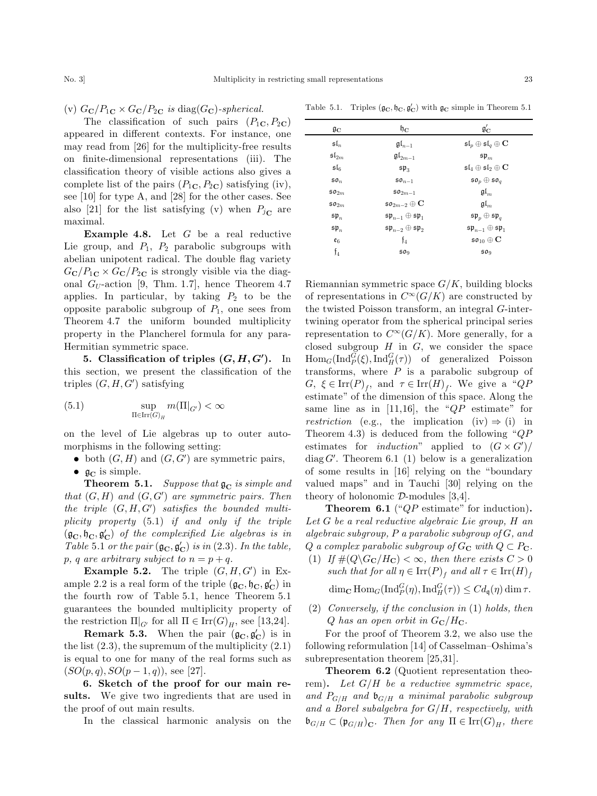(v)  $G_{\mathbf{C}}/P_{1\mathbf{C}} \times G_{\mathbf{C}}/P_{2\mathbf{C}}$  is diag $(G_{\mathbf{C}})$ -spherical.

The classification of such pairs  $(P_{1C}, P_{2C})$ appeared in different contexts. For instance, one may read from [26] for the multiplicity-free results on finite-dimensional representations (iii). The classification theory of visible actions also gives a complete list of the pairs  $(P_{1C}, P_{2C})$  satisfying (iv), see [10] for type A, and [28] for the other cases. See also [21] for the list satisfying (v) when  $P_{j\text{C}}$  are maximal.

**Example 4.8.** Let  $G$  be a real reductive Lie group, and  $P_1$ ,  $P_2$  parabolic subgroups with abelian unipotent radical. The double flag variety  $G_{\rm C}/P_{1C} \times G_{\rm C}/P_{2C}$  is strongly visible via the diagonal  $G_U$ -action [9, Thm. 1.7], hence Theorem 4.7 applies. In particular, by taking  $P_2$  to be the opposite parabolic subgroup of  $P_1$ , one sees from Theorem 4.7 the uniform bounded multiplicity property in the Plancherel formula for any para-Hermitian symmetric space.

5. Classification of triples  $(G, H, G')$ . In this section, we present the classification of the triples  $(G, H, G')$  satisfying

(5.1) 
$$
\sup_{\Pi \in \text{Irr}(G)_H} m(\Pi|_{G'}) < \infty
$$

on the level of Lie algebras up to outer automorphisms in the following setting:

- both  $(G, H)$  and  $(G, G')$  are symmetric pairs,
- $\mathfrak{g}_C$  is simple.

**Theorem 5.1.** Suppose that  $\mathfrak{g}_C$  is simple and that  $(G, H)$  and  $(G, G')$  are symmetric pairs. Then the triple  $(G, H, G')$  satisfies the bounded multiplicity property (5.1) if and only if the triple  $(\mathfrak{g}_{\mathbf{C}}, \mathfrak{h}_{\mathbf{C}}, \mathfrak{g}_{\mathbf{C}}')$  of the complexified Lie algebras is in Table 5.1 or the pair  $(\mathfrak{g}_{\mathbf{C}}, \mathfrak{g}_{\mathbf{C}}')$  is in (2.3). In the table, p, q are arbitrary subject to  $n = p + q$ .

**Example 5.2.** The triple  $(G, H, G')$  in Example 2.2 is a real form of the triple  $(\mathfrak{g}_{\mathbf C},\mathfrak{h}_{\mathbf C},\mathfrak{g}_{\mathbf C}')$  in the fourth row of Table 5.1, hence Theorem 5.1 guarantees the bounded multiplicity property of the restriction  $\Pi|_{G'}$  for all  $\Pi \in \text{Irr}(G)_H$ , see [13,24].

**Remark 5.3.** When the pair  $(\mathfrak{g}_{\mathbb{C}}, \mathfrak{g}_{\mathbb{C}}')$  is in the list  $(2.3)$ , the supremum of the multiplicity  $(2.1)$ is equal to one for many of the real forms such as  $(SO(p, q), SO(p - 1, q))$ , see [27].

6. Sketch of the proof for our main results. We give two ingredients that are used in the proof of out main results.

In the classical harmonic analysis on the

| $\mathfrak{g}_\mathbf{C}$ | $\mathfrak{h}_\mathbf{C}$                   | $\mathfrak{g}'_\mathrm{C}$                          |
|---------------------------|---------------------------------------------|-----------------------------------------------------|
| $\mathfrak{sl}_n$         | $\mathfrak{gl}_{n-1}$                       | $\mathfrak{sl}_p\oplus\mathfrak{sl}_q\oplus{\bf C}$ |
| $\mathfrak{sl}_{2m}$      | $\mathfrak{gl}_{2m-1}$                      | $\mathfrak{sp}_m$                                   |
| $\mathfrak{sl}_6$         | $$p_3$$                                     | $\mathfrak{sl}_4\oplus\mathfrak{sl}_2\oplus{\bf C}$ |
| 50 <sub>n</sub>           | $50n-1$                                     | $\mathfrak{so}_p\oplus\mathfrak{so}_q$              |
| $\mathfrak{so}_{2m}$      | $\mathfrak{so}_{2m-1}$                      | $\mathfrak{gl}_m$                                   |
| $\mathfrak{so}_{2m}$      | $\mathfrak{so}_{2m-2}\oplus{\bf C}$         | $\mathfrak{gl}_m$                                   |
| $\mathfrak{sp}_n$         | $\mathfrak{sp}_{n-1}\oplus \mathfrak{sp}_1$ | $\mathfrak{sp}_p\oplus\mathfrak{sp}_q$              |
| $\mathfrak{sp}_n$         | $\mathfrak{sp}_{n-2}\oplus\mathfrak{sp}_2$  | $\mathfrak{sp}_{n-1}\oplus \mathfrak{sp}_1$         |
| $\varepsilon_6$           | ${\mathfrak f}_4$                           | $\mathfrak{so}_{10}\oplus\mathbf{C}$                |
| $\mathfrak{f}_4$          | 50 <sub>9</sub>                             | 50 <sub>9</sub>                                     |

Table 5.1. Triples  $(\mathfrak{g}_C, \mathfrak{h}_C, \mathfrak{g}'_C)$  with  $\mathfrak{g}_C$  simple in Theorem 5.1

Riemannian symmetric space  $G/K$ , building blocks of representations in  $C^{\infty}(G/K)$  are constructed by the twisted Poisson transform, an integral G-intertwining operator from the spherical principal series representation to  $C^{\infty}(G/K)$ . More generally, for a closed subgroup  $H$  in  $G$ , we consider the space  $\text{Hom}_G(\text{Ind}_P^G(\xi), \text{Ind}_H^G(\tau))$  of generalized Poisson transforms, where  $P$  is a parabolic subgroup of  $G, \xi \in \text{Irr}(P)_f$ , and  $\tau \in \text{Irr}(H)_f$ . We give a "QP estimate'' of the dimension of this space. Along the same line as in  $[11,16]$ , the " $QP$  estimate" for *restriction* (e.g., the implication (iv)  $\Rightarrow$  (i) in Theorem 4.3) is deduced from the following " $QP$ estimates for *induction*" applied to  $(G \times G')/$ 

diag  $G'$ . Theorem 6.1 (1) below is a generalization of some results in [16] relying on the ''boundary valued maps'' and in Tauchi [30] relying on the theory of holonomic  $D$ -modules [3,4].

**Theorem 6.1** (" $QP$  estimate" for induction). Let G be a real reductive algebraic Lie group, H an algebraic subgroup, P a parabolic subgroup of G, and Q a complex parabolic subgroup of  $G_C$  with  $Q \subset P_C$ .

- (1) If  $\#(Q \backslash G_{\mathbb{C}}/H_{\mathbb{C}}) < \infty$ , then there exists  $C > 0$ such that for all  $\eta \in \text{Irr}(P)$ <sub>f</sub> and all  $\tau \in \text{Irr}(H)$ <sub>f</sub>  $\dim_{\mathbf{C}} \text{Hom}_G(\text{Ind}_P^G(\eta), \text{Ind}_H^G(\tau)) \leq C d_{\mathfrak{q}}(\eta) \dim \tau.$
- (2) Conversely, if the conclusion in (1) holds, then  $Q$  has an open orbit in  $G_{\rm C}/H_{\rm C}$ .

For the proof of Theorem 3.2, we also use the following reformulation [14] of Casselman–Oshima's subrepresentation theorem [25,31].

Theorem 6.2 (Quotient representation theorem). Let  $G/H$  be a reductive symmetric space, and  $P_{G/H}$  and  $\mathfrak{b}_{G/H}$  a minimal parabolic subgroup and a Borel subalgebra for  $G/H$ , respectively, with  $\mathfrak{b}_{G/H} \subset (\mathfrak{p}_{G/H})_{\mathbf{C}}$ . Then for any  $\Pi \in \mathrm{Irr}(G)_H$ , there